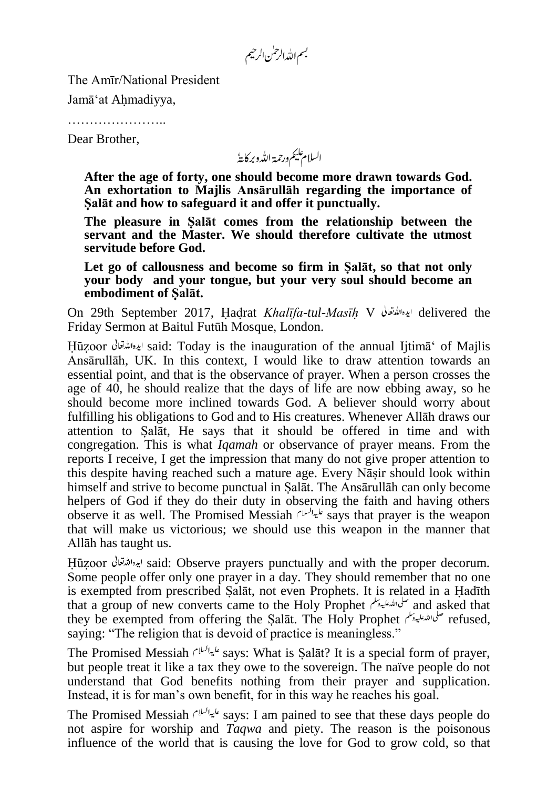بسم الله الرحمٰن الرحيم

The Amīr/National President

Jamā'at Ahmadiyya,

…………………..

Dear Brother,

السلام عليم ورحمة الله وبركايةُ

**After the age of forty, one should become more drawn towards God. An exhortation to Majlis Ansārullāh regarding the importance of Salāt and how to safeguard it and offer it punctually.**

**The pleasure in Salāt comes from the relationship between the servant and the Master. We should therefore cultivate the utmost servitude before God.**

**Let go of callousness and become so firm in Salāt, so that not only your body and your tongue, but your very soul should become an embodiment of Salāt.**

On 29th September 2017, Hadrat *Khalīfa-tul-Masīh* V delivered the Friday Sermon at Baitul Futūh Mosque, London.

Huzoor said: Today is the inauguration of the annual Ijtimā' of Majlis Ansārullāh, UK. In this context, I would like to draw attention towards an essential point, and that is the observance of prayer. When a person crosses the age of 40, he should realize that the days of life are now ebbing away, so he should become more inclined towards God. A believer should worry about fulfilling his obligations to God and to His creatures. Whenever Allāh draws our attention to Salāt, He says that it should be offered in time and with congregation. This is what *Iqamah* or observance of prayer means. From the reports I receive, I get the impression that many do not give proper attention to this despite having reached such a mature age. Every Nāsir should look within himself and strive to become punctual in Salāt. The Ansārullāh can only become helpers of God if they do their duty in observing the faith and having others observe it as well. The Promised Messiah  $\ell^{[1,1]}$  says that prayer is the weapon that will make us victorious; we should use this weapon in the manner that Allāh has taught us.

Huzoor said: Observe prayers punctually and with the proper decorum. Some people offer only one prayer in a day. They should remember that no one is exempted from prescribed Salāt, not even Prophets. It is related in a Hadīth that a group of new converts came to the Holy Prophet  $\frac{1}{2}$  and asked that they be exempted from offering the Salāt. The Holy Prophet refused, saying: "The religion that is devoid of practice is meaningless."

The Promised Messiah على السلام says: What is Salāt? It is a special form of prayer, but people treat it like a tax they owe to the sovereign. The naïve people do not understand that God benefits nothing from their prayer and supplication. Instead, it is for man's own benefit, for in this way he reaches his goal.

The Promised Messiah  $s^{1/4}$  says: I am pained to see that these days people do not aspire for worship and *Taqwa* and piety. The reason is the poisonous influence of the world that is causing the love for God to grow cold, so that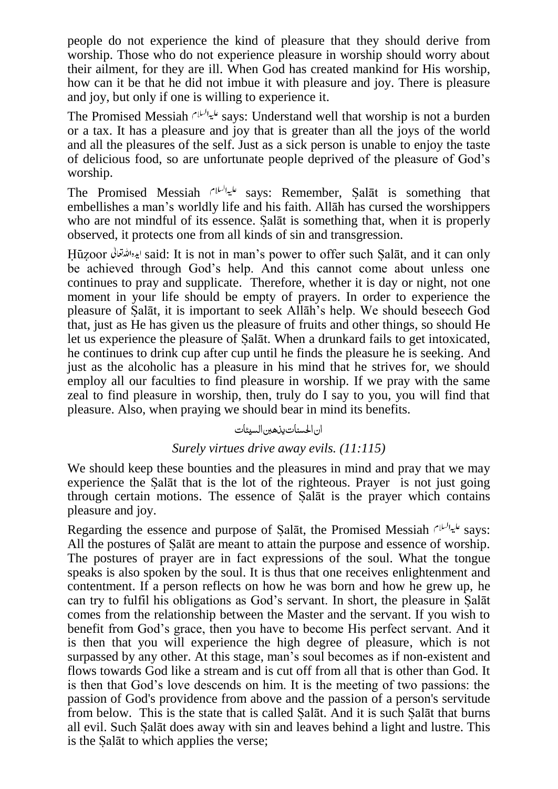people do not experience the kind of pleasure that they should derive from worship. Those who do not experience pleasure in worship should worry about their ailment, for they are ill. When God has created mankind for His worship, how can it be that he did not imbue it with pleasure and joy. There is pleasure and joy, but only if one is willing to experience it.

The Promised Messiah says: Understand well that worship is not a burden or a tax. It has a pleasure and joy that is greater than all the joys of the world and all the pleasures of the self. Just as a sick person is unable to enjoy the taste of delicious food, so are unfortunate people deprived of the pleasure of God's worship.

The Promised Messiah *فيباليا*م says: Remember, Salāt is something that embellishes a man's worldly life and his faith. Allāh has cursed the worshippers who are not mindful of its essence. Salāt is something that, when it is properly observed, it protects one from all kinds of sin and transgression.

Huzoor said: It is not in man's power to offer such Salāt, and it can only be achieved through God's help. And this cannot come about unless one continues to pray and supplicate. Therefore, whether it is day or night, not one moment in your life should be empty of prayers. In order to experience the pleasure of Salāt, it is important to seek Allāh's help. We should beseech God that, just as He has given us the pleasure of fruits and other things, so should He let us experience the pleasure of Salāt. When a drunkard fails to get intoxicated, he continues to drink cup after cup until he finds the pleasure he is seeking. And just as the alcoholic has a pleasure in his mind that he strives for, we should employ all our faculties to find pleasure in worship. If we pray with the same zeal to find pleasure in worship, then, truly do I say to you, you will find that pleasure. Also, when praying we should bear in mind its benefits.

## ان احلسنات یذھنب السیئات

## *Surely virtues drive away evils. (11:115)*

We should keep these bounties and the pleasures in mind and pray that we may experience the Salāt that is the lot of the righteous. Prayer is not just going through certain motions. The essence of Salāt is the prayer which contains pleasure and joy.

Regarding the essence and purpose of Salāt, the Promised Messiah  $s^{\mu\nu}$  says: All the postures of Salāt are meant to attain the purpose and essence of worship. The postures of prayer are in fact expressions of the soul. What the tongue speaks is also spoken by the soul. It is thus that one receives enlightenment and contentment. If a person reflects on how he was born and how he grew up, he can try to fulfil his obligations as God's servant. In short, the pleasure in Salāt comes from the relationship between the Master and the servant. If you wish to benefit from God's grace, then you have to become His perfect servant. And it is then that you will experience the high degree of pleasure, which is not surpassed by any other. At this stage, man's soul becomes as if non-existent and flows towards God like a stream and is cut off from all that is other than God. It is then that God's love descends on him. It is the meeting of two passions: the passion of God's providence from above and the passion of a person's servitude from below. This is the state that is called Salāt. And it is such Salāt that burns all evil. Such Salāt does away with sin and leaves behind a light and lustre. This is the Salāt to which applies the verse;